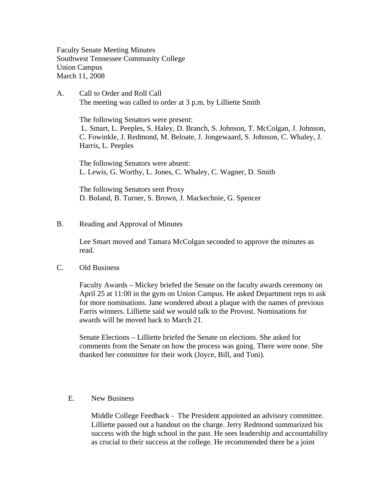Faculty Senate Meeting Minutes Southwest Tennessee Community College Union Campus March 11, 2008

A. Call to Order and Roll Call The meeting was called to order at 3 p.m. by Lilliette Smith

> The following Senators were present: L. Smart, L. Peeples, S. Haley, D. Branch, S. Johnson, T. McColgan, J. Johnson, C. Fowinkle, J. Redmond, M. Beloate, J. Jongewaard, S. Johnson, C. Whaley, J. Harris, L. Peeples

The following Senators were absent: L. Lewis, G. Worthy, L. Jones, C. Whaley, C. Wagner, D. Smith

The following Senators sent Proxy D. Boland, B. Turner, S. Brown, J. Mackechnie, G. Spencer

## B. Reading and Approval of Minutes

Lee Smart moved and Tamara McColgan seconded to approve the minutes as read.

## C. Old Business

Faculty Awards – Mickey briefed the Senate on the faculty awards ceremony on April 25 at 11:00 in the gym on Union Campus. He asked Department reps to ask for more nominations. Jane wondered about a plaque with the names of previous Farris winners. Lilliette said we would talk to the Provost. Nominations for awards will be moved back to March 21.

Senate Elections – Lilliette briefed the Senate on elections. She asked for comments from the Senate on how the process was going. There were none. She thanked her committee for their work (Joyce, Bill, and Toni).

## E. New Business

Middle College Feedback - The President appointed an advisory committee. Lilliette passed out a handout on the charge. Jerry Redmond summarized his success with the high school in the past. He sees leadership and accountability as crucial to their success at the college. He recommended there be a joint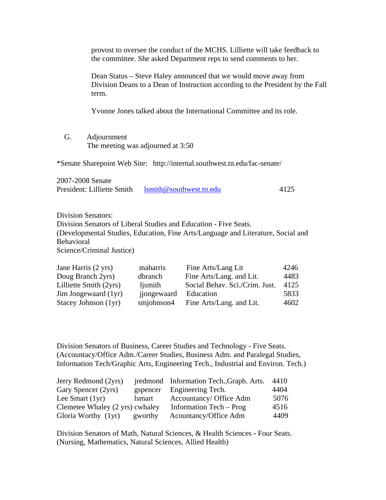|                                         | provost to oversee the conduct of the MCHS. Lilliette will take feedback to<br>the committee. She asked Department reps to send comments to her.            |          |                                                                                                                                                      |      |
|-----------------------------------------|-------------------------------------------------------------------------------------------------------------------------------------------------------------|----------|------------------------------------------------------------------------------------------------------------------------------------------------------|------|
|                                         | Dean Status – Steve Haley announced that we would move away from<br>Division Deans to a Dean of Instruction according to the President by the Fall<br>term. |          |                                                                                                                                                      |      |
|                                         |                                                                                                                                                             |          | Yvonne Jones talked about the International Committee and its role.                                                                                  |      |
| G.                                      | Adjournment<br>The meeting was adjourned at 3:50                                                                                                            |          |                                                                                                                                                      |      |
|                                         |                                                                                                                                                             |          | *Senate Sharepoint Web Site: http://internal.southwest.tn.edu/fac-senate/                                                                            |      |
| 2007-2008 Senate                        | President: Lilliette Smith                                                                                                                                  |          | lsmith@southwest.tn.edu                                                                                                                              | 4125 |
| <b>Division Senators:</b><br>Behavioral | Science/Criminal Justice)                                                                                                                                   |          | Division Senators of Liberal Studies and Education - Five Seats.<br>(Developmental Studies, Education, Fine Arts/Language and Literature, Social and |      |
| Jane Harris (2 yrs)                     |                                                                                                                                                             | maharris | Fine Arts/Lang Lit                                                                                                                                   | 4246 |

| Jane Harris (2 yrs)    | manarris    | Fine Arts/Lang Lit             | 4240 |
|------------------------|-------------|--------------------------------|------|
| Doug Branch 2yrs)      | dbranch     | Fine Arts/Lang. and Lit.       | 4483 |
| Lilliette Smith (2yrs) | ljsmith     | Social Behav. Sci./Crim. Just. | 4125 |
| Jim Jongewaard (1yr)   | jjongewaard | Education                      | 5833 |
| Stacey Johnson (1yr)   | smjohnson4  | Fine Arts/Lang. and Lit.       | 4602 |
|                        |             |                                |      |

Division Senators of Business, Career Studies and Technology - Five Seats. (Accountacy/Office Adm./Career Studies, Business Adm. and Paralegal Studies, Information Tech/Graphic Arts, Engineering Tech., Industrial and Environ. Tech.)

| Jerry Redmond (2yrs)            |              | jredmond Information Tech., Graph. Arts. | 4410 |
|---------------------------------|--------------|------------------------------------------|------|
| Gary Spencer (2yrs)             | gspencer     | Engineering Tech.                        | 4404 |
| Lee Smart $(1yr)$               | <i>smart</i> | Accountancy/ Office Adm                  | 5076 |
| Clemetee Whaley (2 yrs) cwhaley |              | Information Tech – Prog                  | 4516 |
| Gloria Worthy (1yr)             | gworthy      | Acountancy/Office Adm                    | 4409 |

Division Senators of Math, Natural Sciences, & Health Sciences - Four Seats. (Nursing, Mathematics, Natural Sciences, Allied Health)